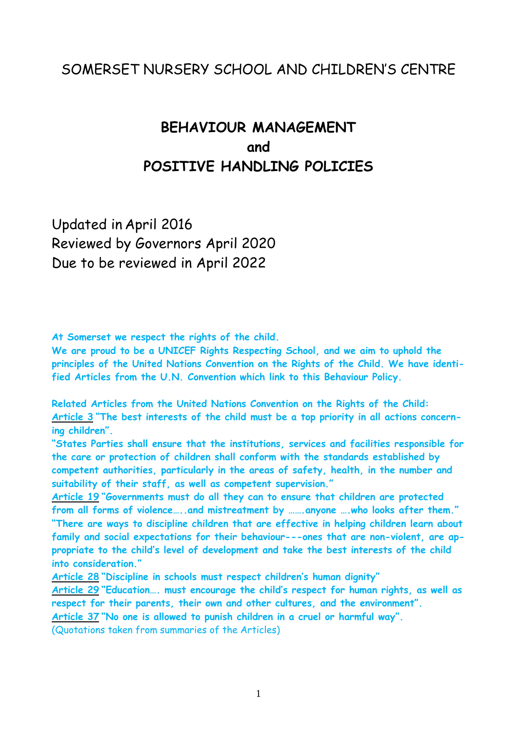## SOMERSET NURSERY SCHOOL AND CHILDREN'S CENTRE

# **BEHAVIOUR MANAGEMENT and POSITIVE HANDLING POLICIES**

Updated in April 2016 Reviewed by Governors April 2020 Due to be reviewed in April 2022

**At Somerset we respect the rights of the child.**

**We are proud to be a UNICEF Rights Respecting School, and we aim to uphold the principles of the United Nations Convention on the Rights of the Child. We have identified Articles from the U.N. Convention which link to this Behaviour Policy.**

**Related Articles from the United Nations Convention on the Rights of the Child: Article 3 "The best interests of the child must be a top priority in all actions concerning children".**

**"States Parties shall ensure that the institutions, services and facilities responsible for the care or protection of children shall conform with the standards established by competent authorities, particularly in the areas of safety, health, in the number and suitability of their staff, as well as competent supervision."**

**Article 19 "Governments must do all they can to ensure that children are protected from all forms of violence…..and mistreatment by …….anyone ….who looks after them." "There are ways to discipline children that are effective in helping children learn about family and social expectations for their behaviour---ones that are non-violent, are appropriate to the child's level of development and take the best interests of the child into consideration."**

**Article 28 "Discipline in schools must respect children's human dignity"**

**Article 29 "Education…. must encourage the child's respect for human rights, as well as respect for their parents, their own and other cultures, and the environment".**

**Article 37 "No one is allowed to punish children in a cruel or harmful way".**

(Quotations taken from summaries of the Articles)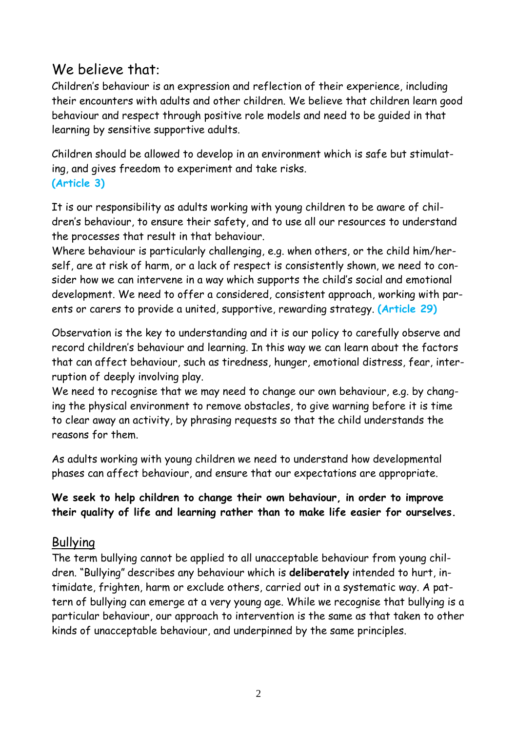# We believe that:

Children's behaviour is an expression and reflection of their experience, including their encounters with adults and other children. We believe that children learn good behaviour and respect through positive role models and need to be guided in that learning by sensitive supportive adults.

Children should be allowed to develop in an environment which is safe but stimulating, and gives freedom to experiment and take risks. **(Article 3)**

It is our responsibility as adults working with young children to be aware of children's behaviour, to ensure their safety, and to use all our resources to understand the processes that result in that behaviour.

Where behaviour is particularly challenging, e.g. when others, or the child him/herself, are at risk of harm, or a lack of respect is consistently shown, we need to consider how we can intervene in a way which supports the child's social and emotional development. We need to offer a considered, consistent approach, working with parents or carers to provide a united, supportive, rewarding strategy. **(Article 29)**

Observation is the key to understanding and it is our policy to carefully observe and record children's behaviour and learning. In this way we can learn about the factors that can affect behaviour, such as tiredness, hunger, emotional distress, fear, interruption of deeply involving play.

We need to recognise that we may need to change our own behaviour, e.g. by changing the physical environment to remove obstacles, to give warning before it is time to clear away an activity, by phrasing requests so that the child understands the reasons for them.

As adults working with young children we need to understand how developmental phases can affect behaviour, and ensure that our expectations are appropriate.

**We seek to help children to change their own behaviour, in order to improve their quality of life and learning rather than to make life easier for ourselves.**

## Bullying

The term bullying cannot be applied to all unacceptable behaviour from young children. "Bullying" describes any behaviour which is **deliberately** intended to hurt, intimidate, frighten, harm or exclude others, carried out in a systematic way. A pattern of bullying can emerge at a very young age. While we recognise that bullying is a particular behaviour, our approach to intervention is the same as that taken to other kinds of unacceptable behaviour, and underpinned by the same principles.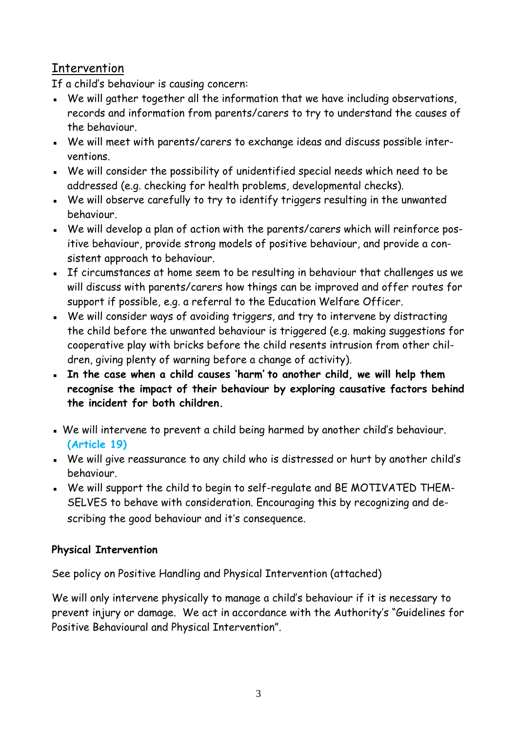## Intervention

If a child's behaviour is causing concern:

- **EXECT** We will gather together all the information that we have including observations, records and information from parents/carers to try to understand the causes of the behaviour.
- We will meet with parents/carers to exchange ideas and discuss possible interventions.
- We will consider the possibility of unidentified special needs which need to be addressed (e.g. checking for health problems, developmental checks).
- We will observe carefully to try to identify triggers resulting in the unwanted behaviour.
- We will develop a plan of action with the parents/carers which will reinforce positive behaviour, provide strong models of positive behaviour, and provide a consistent approach to behaviour.
- If circumstances at home seem to be resulting in behaviour that challenges us we will discuss with parents/carers how things can be improved and offer routes for support if possible, e.g. a referral to the Education Welfare Officer.
- We will consider ways of avoiding triggers, and try to intervene by distracting the child before the unwanted behaviour is triggered (e.g. making suggestions for cooperative play with bricks before the child resents intrusion from other children, giving plenty of warning before a change of activity).
- **In the case when a child causes 'harm' to another child, we will help them recognise the impact of their behaviour by exploring causative factors behind the incident for both children.**
- . We will intervene to prevent a child being harmed by another child's behaviour. **(Article 19)**
- We will give reassurance to any child who is distressed or hurt by another child's behaviour.
- We will support the child to begin to self-regulate and BE MOTIVATED THEM-SELVES to behave with consideration. Encouraging this by recognizing and describing the good behaviour and it's consequence.

## **Physical Intervention**

See policy on Positive Handling and Physical Intervention (attached)

We will only intervene physically to manage a child's behaviour if it is necessary to prevent injury or damage. We act in accordance with the Authority's "Guidelines for Positive Behavioural and Physical Intervention".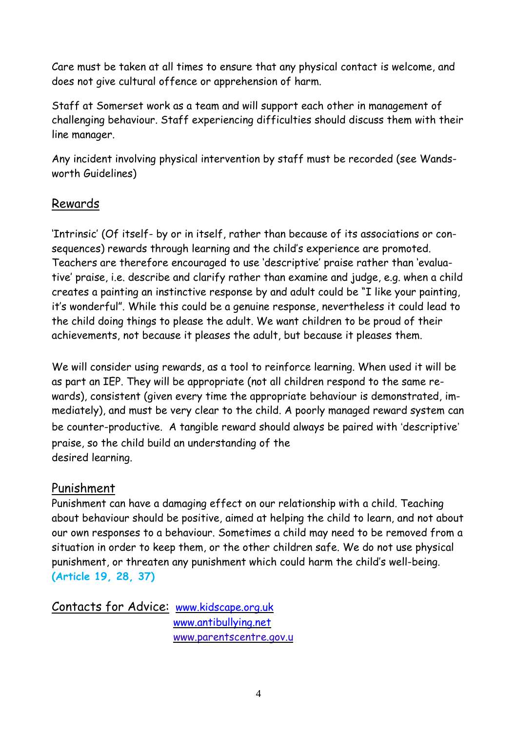Care must be taken at all times to ensure that any physical contact is welcome, and does not give cultural offence or apprehension of harm.

Staff at Somerset work as a team and will support each other in management of challenging behaviour. Staff experiencing difficulties should discuss them with their line manager.

Any incident involving physical intervention by staff must be recorded (see Wandsworth Guidelines)

## Rewards

'Intrinsic' (Of itself- by or in itself, rather than because of its associations or consequences) rewards through learning and the child's experience are promoted. Teachers are therefore encouraged to use 'descriptive' praise rather than 'evaluative' praise, i.e. describe and clarify rather than examine and judge, e.g. when a child creates a painting an instinctive response by and adult could be "I like your painting, it's wonderful". While this could be a genuine response, nevertheless it could lead to the child doing things to please the adult. We want children to be proud of their achievements, not because it pleases the adult, but because it pleases them.

We will consider using rewards, as a tool to reinforce learning. When used it will be as part an IEP. They will be appropriate (not all children respond to the same rewards), consistent (given every time the appropriate behaviour is demonstrated, immediately), and must be very clear to the child. A poorly managed reward system can be counter-productive. A tangible reward should always be paired with 'descriptive' praise, so the child build an understanding of the desired learning.

## Punishment

Punishment can have a damaging effect on our relationship with a child. Teaching about behaviour should be positive, aimed at helping the child to learn, and not about our own responses to a behaviour. Sometimes a child may need to be removed from a situation in order to keep them, or the other children safe. We do not use physical punishment, or threaten any punishment which could harm the child's well-being. **(Article 19, 28, 37)**

Contacts for Advice: [www.kidscape.org.uk](http://www.kidscape.org.uk/) [www.antibullying.net](http://www.antibullying.net/) www.parentscentre.gov.u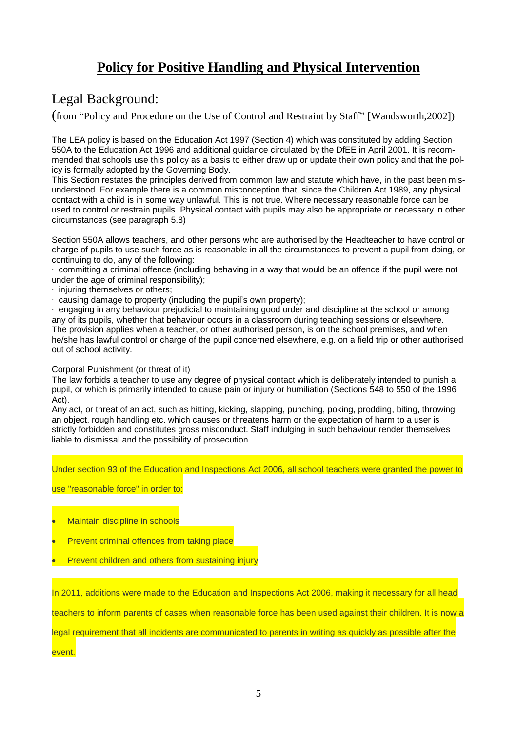## **Policy for Positive Handling and Physical Intervention**

## Legal Background:

(from "Policy and Procedure on the Use of Control and Restraint by Staff" [Wandsworth,2002])

The LEA policy is based on the Education Act 1997 (Section 4) which was constituted by adding Section 550A to the Education Act 1996 and additional guidance circulated by the DfEE in April 2001. It is recommended that schools use this policy as a basis to either draw up or update their own policy and that the policy is formally adopted by the Governing Body.

This Section restates the principles derived from common law and statute which have, in the past been misunderstood. For example there is a common misconception that, since the Children Act 1989, any physical contact with a child is in some way unlawful. This is not true. Where necessary reasonable force can be used to control or restrain pupils. Physical contact with pupils may also be appropriate or necessary in other circumstances (see paragraph 5.8)

Section 550A allows teachers, and other persons who are authorised by the Headteacher to have control or charge of pupils to use such force as is reasonable in all the circumstances to prevent a pupil from doing, or continuing to do, any of the following:

∙ committing a criminal offence (including behaving in a way that would be an offence if the pupil were not under the age of criminal responsibility);

- ∙ injuring themselves or others;
- ∙ causing damage to property (including the pupil's own property);

∙ engaging in any behaviour prejudicial to maintaining good order and discipline at the school or among any of its pupils, whether that behaviour occurs in a classroom during teaching sessions or elsewhere. The provision applies when a teacher, or other authorised person, is on the school premises, and when he/she has lawful control or charge of the pupil concerned elsewhere, e.g. on a field trip or other authorised out of school activity.

#### Corporal Punishment (or threat of it)

The law forbids a teacher to use any degree of physical contact which is deliberately intended to punish a pupil, or which is primarily intended to cause pain or injury or humiliation (Sections 548 to 550 of the 1996 Act).

Any act, or threat of an act, such as hitting, kicking, slapping, punching, poking, prodding, biting, throwing an object, rough handling etc. which causes or threatens harm or the expectation of harm to a user is strictly forbidden and constitutes gross misconduct. Staff indulging in such behaviour render themselves liable to dismissal and the possibility of prosecution.

Under section 93 of the Education and Inspections Act 2006, all school teachers were granted the power to

#### use "reasonable force" in order to:

- Maintain discipline in schools
- Prevent criminal offences from taking place
- Prevent children and others from sustaining injury

In 2011, additions were made to the Education and Inspections Act 2006, making it necessary for all head

teachers to inform parents of cases when reasonable force has been used against their children. It is now a

legal requirement that all incidents are communicated to parents in writing as quickly as possible after the

event.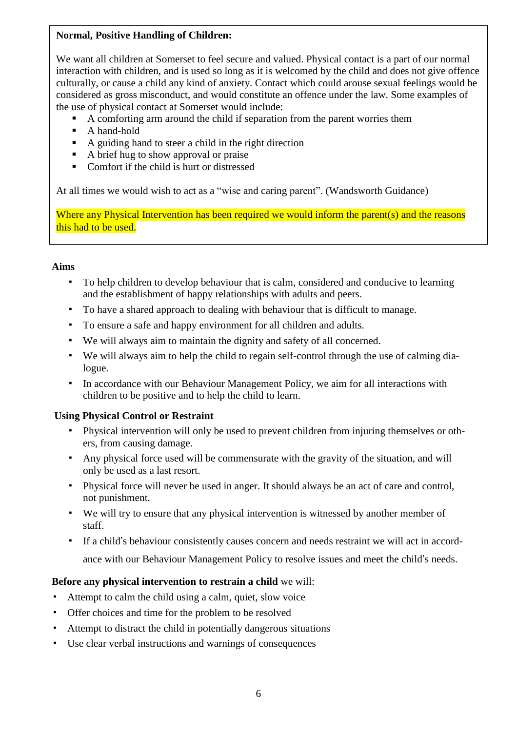### **Normal, Positive Handling of Children:**

We want all children at Somerset to feel secure and valued. Physical contact is a part of our normal interaction with children, and is used so long as it is welcomed by the child and does not give offence culturally, or cause a child any kind of anxiety. Contact which could arouse sexual feelings would be considered as gross misconduct, and would constitute an offence under the law. Some examples of the use of physical contact at Somerset would include:

- A comforting arm around the child if separation from the parent worries them
- A hand-hold
- A guiding hand to steer a child in the right direction
- A brief hug to show approval or praise
- Comfort if the child is hurt or distressed

At all times we would wish to act as a "wise and caring parent". (Wandsworth Guidance)

Where any Physical Intervention has been required we would inform the parent(s) and the reasons this had to be used.

#### **Aims**

- To help children to develop behaviour that is calm, considered and conducive to learning and the establishment of happy relationships with adults and peers.
- To have a shared approach to dealing with behaviour that is difficult to manage.
- To ensure a safe and happy environment for all children and adults.
- We will always aim to maintain the dignity and safety of all concerned.
- We will always aim to help the child to regain self-control through the use of calming dialogue.
- In accordance with our Behaviour Management Policy, we aim for all interactions with children to be positive and to help the child to learn.

### **Using Physical Control or Restraint**

- Physical intervention will only be used to prevent children from injuring themselves or others, from causing damage.
- Any physical force used will be commensurate with the gravity of the situation, and will only be used as a last resort.
- Physical force will never be used in anger. It should always be an act of care and control, not punishment.
- We will try to ensure that any physical intervention is witnessed by another member of staff.
- If a child's behaviour consistently causes concern and needs restraint we will act in accordance with our Behaviour Management Policy to resolve issues and meet the child's needs.

### **Before any physical intervention to restrain a child** we will:

- Attempt to calm the child using a calm, quiet, slow voice
- Offer choices and time for the problem to be resolved
- Attempt to distract the child in potentially dangerous situations
- Use clear verbal instructions and warnings of consequences